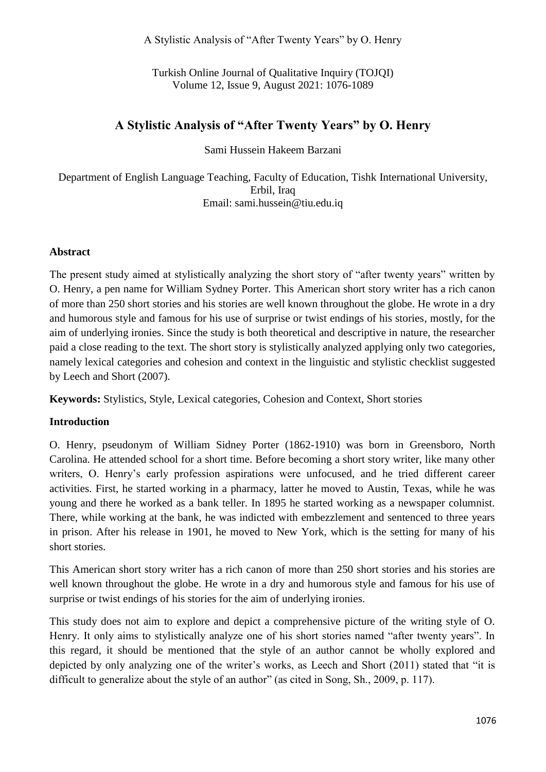A Stylistic Analysis of "After Twenty Years" by O. Henry

Turkish Online Journal of Qualitative Inquiry (TOJQI) Volume 12, Issue 9, August 2021: 1076-1089

# **A Stylistic Analysis of "After Twenty Years" by O. Henry**

Sami Hussein Hakeem Barzani

Department of English Language Teaching, Faculty of Education, Tishk International University, Erbil, Iraq Email: sami.hussein@tiu.edu.iq

#### **Abstract**

The present study aimed at stylistically analyzing the short story of "after twenty years" written by O. Henry, a pen name for William Sydney Porter. This American short story writer has a rich canon of more than 250 short stories and his stories are well known throughout the globe. He wrote in a dry and humorous style and famous for his use of surprise or twist endings of his stories, mostly, for the aim of underlying ironies. Since the study is both theoretical and descriptive in nature, the researcher paid a close reading to the text. The short story is stylistically analyzed applying only two categories, namely lexical categories and cohesion and context in the linguistic and stylistic checklist suggested by Leech and Short (2007).

**Keywords:** Stylistics, Style, Lexical categories, Cohesion and Context, Short stories

### **Introduction**

O. Henry, pseudonym of William Sidney Porter (1862-1910) was born in Greensboro, North Carolina. He attended school for a short time. Before becoming a short story writer, like many other writers, O. Henry's early profession aspirations were unfocused, and he tried different career activities. First, he started working in a pharmacy, latter he moved to Austin, Texas, while he was young and there he worked as a bank teller. In 1895 he started working as a newspaper columnist. There, while working at the bank, he was indicted with embezzlement and sentenced to three years in prison. After his release in 1901, he moved to New York, which is the setting for many of his short stories.

This American short story writer has a rich canon of more than 250 short stories and his stories are well known throughout the globe. He wrote in a dry and humorous style and famous for his use of surprise or twist endings of his stories for the aim of underlying ironies.

This study does not aim to explore and depict a comprehensive picture of the writing style of O. Henry. It only aims to stylistically analyze one of his short stories named "after twenty years". In this regard, it should be mentioned that the style of an author cannot be wholly explored and depicted by only analyzing one of the writer's works, as Leech and Short (2011) stated that "it is difficult to generalize about the style of an author" (as cited in Song, Sh., 2009, p. 117).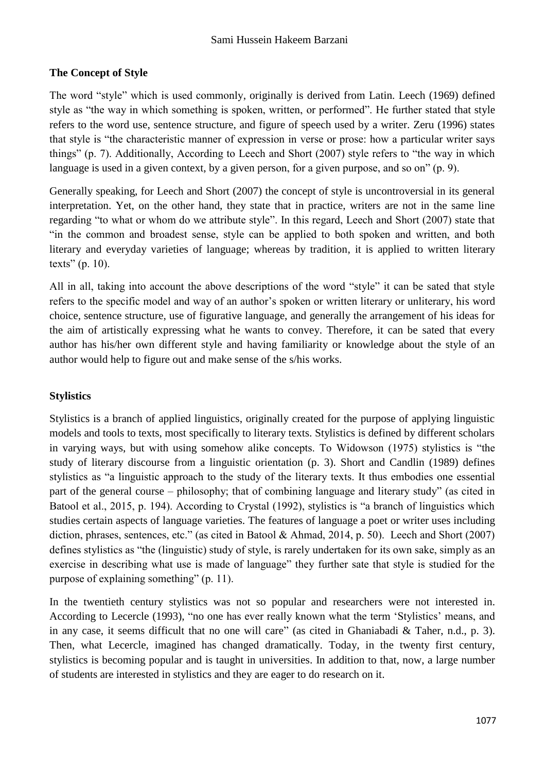### **The Concept of Style**

The word "style" which is used commonly, originally is derived from Latin. Leech (1969) defined style as "the way in which something is spoken, written, or performed". He further stated that style refers to the word use, sentence structure, and figure of speech used by a writer. Zeru (1996) states that style is "the characteristic manner of expression in verse or prose: how a particular writer says things" (p. 7). Additionally, According to Leech and Short (2007) style refers to "the way in which language is used in a given context, by a given person, for a given purpose, and so on" (p. 9).

Generally speaking, for Leech and Short (2007) the concept of style is uncontroversial in its general interpretation. Yet, on the other hand, they state that in practice, writers are not in the same line regarding "to what or whom do we attribute style". In this regard, Leech and Short (2007) state that "in the common and broadest sense, style can be applied to both spoken and written, and both literary and everyday varieties of language; whereas by tradition, it is applied to written literary texts" (p. 10).

All in all, taking into account the above descriptions of the word "style" it can be sated that style refers to the specific model and way of an author's spoken or written literary or unliterary, his word choice, sentence structure, use of figurative language, and generally the arrangement of his ideas for the aim of artistically expressing what he wants to convey. Therefore, it can be sated that every author has his/her own different style and having familiarity or knowledge about the style of an author would help to figure out and make sense of the s/his works.

### **Stylistics**

Stylistics is a branch of applied linguistics, originally created for the purpose of applying linguistic models and tools to texts, most specifically to literary texts. Stylistics is defined by different scholars in varying ways, but with using somehow alike concepts. To Widowson (1975) stylistics is "the study of literary discourse from a linguistic orientation (p. 3). Short and Candlin (1989) defines stylistics as "a linguistic approach to the study of the literary texts. It thus embodies one essential part of the general course – philosophy; that of combining language and literary study" (as cited in Batool et al., 2015, p. 194). According to Crystal (1992), stylistics is "a branch of linguistics which studies certain aspects of language varieties. The features of language a poet or writer uses including diction, phrases, sentences, etc." (as cited in Batool & Ahmad, 2014, p. 50). Leech and Short (2007) defines stylistics as "the (linguistic) study of style, is rarely undertaken for its own sake, simply as an exercise in describing what use is made of language" they further sate that style is studied for the purpose of explaining something" (p. 11).

In the twentieth century stylistics was not so popular and researchers were not interested in. According to Lecercle (1993), "no one has ever really known what the term 'Stylistics' means, and in any case, it seems difficult that no one will care" (as cited in Ghaniabadi & Taher, n.d., p. 3). Then, what Lecercle, imagined has changed dramatically. Today, in the twenty first century, stylistics is becoming popular and is taught in universities. In addition to that, now, a large number of students are interested in stylistics and they are eager to do research on it.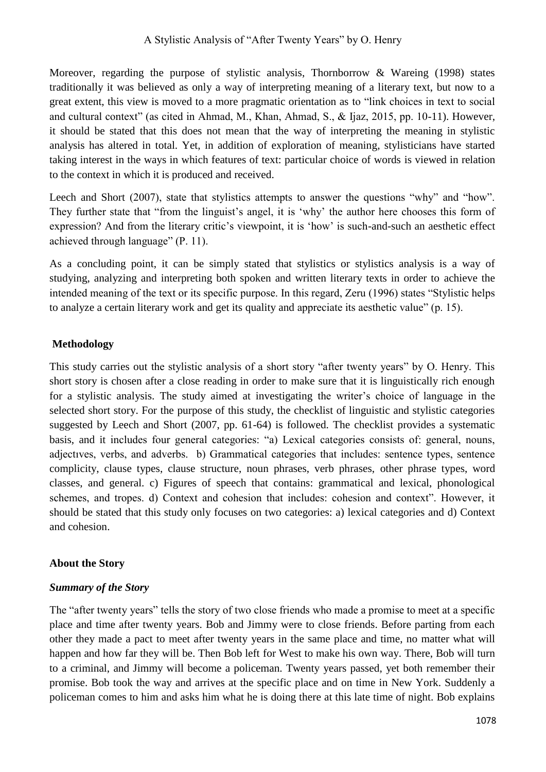Moreover, regarding the purpose of stylistic analysis, Thornborrow & Wareing (1998) states traditionally it was believed as only a way of interpreting meaning of a literary text, but now to a great extent, this view is moved to a more pragmatic orientation as to "link choices in text to social and cultural context" (as cited in Ahmad, M., Khan, Ahmad, S., & Ijaz, 2015, pp. 10-11). However, it should be stated that this does not mean that the way of interpreting the meaning in stylistic analysis has altered in total. Yet, in addition of exploration of meaning, stylisticians have started taking interest in the ways in which features of text: particular choice of words is viewed in relation to the context in which it is produced and received.

Leech and Short (2007), state that stylistics attempts to answer the questions "why" and "how". They further state that "from the linguist's angel, it is 'why' the author here chooses this form of expression? And from the literary critic's viewpoint, it is 'how' is such-and-such an aesthetic effect achieved through language" (P. 11).

As a concluding point, it can be simply stated that stylistics or stylistics analysis is a way of studying, analyzing and interpreting both spoken and written literary texts in order to achieve the intended meaning of the text or its specific purpose. In this regard, Zeru (1996) states "Stylistic helps to analyze a certain literary work and get its quality and appreciate its aesthetic value" (p. 15).

# **Methodology**

This study carries out the stylistic analysis of a short story "after twenty years" by O. Henry. This short story is chosen after a close reading in order to make sure that it is linguistically rich enough for a stylistic analysis. The study aimed at investigating the writer's choice of language in the selected short story. For the purpose of this study, the checklist of linguistic and stylistic categories suggested by Leech and Short (2007, pp. 61-64) is followed. The checklist provides a systematic basis, and it includes four general categories: "a) Lexical categories consists of: general, nouns, adjectıves, verbs, and adverbs. b) Grammatical categories that includes: sentence types, sentence complicity, clause types, clause structure, noun phrases, verb phrases, other phrase types, word classes, and general. c) Figures of speech that contains: grammatical and lexical, phonological schemes, and tropes. d) Context and cohesion that includes: cohesion and context". However, it should be stated that this study only focuses on two categories: a) lexical categories and d) Context and cohesion.

## **About the Story**

## *Summary of the Story*

The "after twenty years" tells the story of two close friends who made a promise to meet at a specific place and time after twenty years. Bob and Jimmy were to close friends. Before parting from each other they made a pact to meet after twenty years in the same place and time, no matter what will happen and how far they will be. Then Bob left for West to make his own way. There, Bob will turn to a criminal, and Jimmy will become a policeman. Twenty years passed, yet both remember their promise. Bob took the way and arrives at the specific place and on time in New York. Suddenly a policeman comes to him and asks him what he is doing there at this late time of night. Bob explains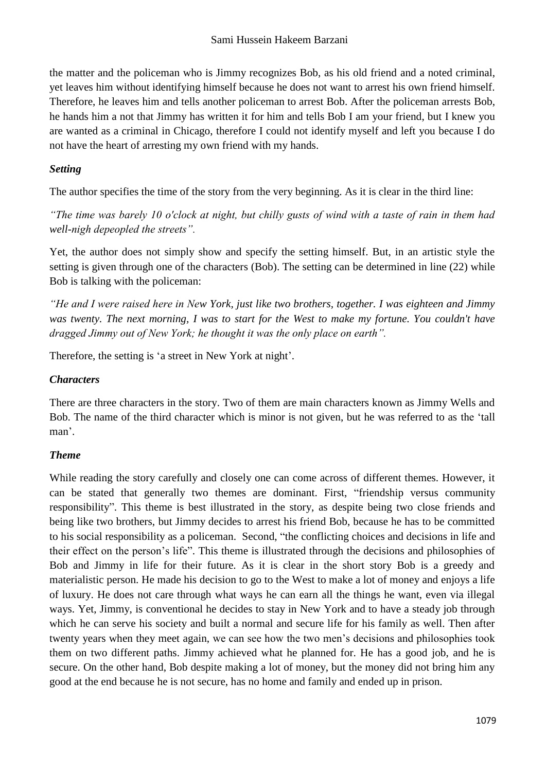the matter and the policeman who is Jimmy recognizes Bob, as his old friend and a noted criminal, yet leaves him without identifying himself because he does not want to arrest his own friend himself. Therefore, he leaves him and tells another policeman to arrest Bob. After the policeman arrests Bob, he hands him a not that Jimmy has written it for him and tells Bob I am your friend, but I knew you are wanted as a criminal in Chicago, therefore I could not identify myself and left you because I do not have the heart of arresting my own friend with my hands.

### *Setting*

The author specifies the time of the story from the very beginning. As it is clear in the third line:

*"The time was barely 10 o'clock at night, but chilly gusts of wind with a taste of rain in them had well-nigh depeopled the streets".*

Yet, the author does not simply show and specify the setting himself. But, in an artistic style the setting is given through one of the characters (Bob). The setting can be determined in line (22) while Bob is talking with the policeman:

*"He and I were raised here in New York, just like two brothers, together. I was eighteen and Jimmy was twenty. The next morning, I was to start for the West to make my fortune. You couldn't have dragged Jimmy out of New York; he thought it was the only place on earth".*

Therefore, the setting is 'a street in New York at night'.

## *Characters*

There are three characters in the story. Two of them are main characters known as Jimmy Wells and Bob. The name of the third character which is minor is not given, but he was referred to as the 'tall man'.

# *Theme*

While reading the story carefully and closely one can come across of different themes. However, it can be stated that generally two themes are dominant. First, "friendship versus community responsibility". This theme is best illustrated in the story, as despite being two close friends and being like two brothers, but Jimmy decides to arrest his friend Bob, because he has to be committed to his social responsibility as a policeman. Second, "the conflicting choices and decisions in life and their effect on the person's life". This theme is illustrated through the decisions and philosophies of Bob and Jimmy in life for their future. As it is clear in the short story Bob is a greedy and materialistic person. He made his decision to go to the West to make a lot of money and enjoys a life of luxury. He does not care through what ways he can earn all the things he want, even via illegal ways. Yet, Jimmy, is conventional he decides to stay in New York and to have a steady job through which he can serve his society and built a normal and secure life for his family as well. Then after twenty years when they meet again, we can see how the two men's decisions and philosophies took them on two different paths. Jimmy achieved what he planned for. He has a good job, and he is secure. On the other hand, Bob despite making a lot of money, but the money did not bring him any good at the end because he is not secure, has no home and family and ended up in prison.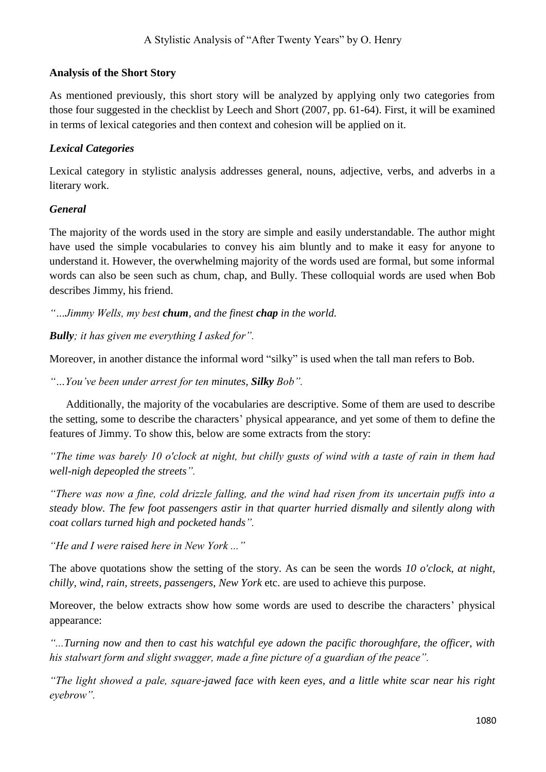### **Analysis of the Short Story**

As mentioned previously, this short story will be analyzed by applying only two categories from those four suggested in the checklist by Leech and Short (2007, pp. 61-64). First, it will be examined in terms of lexical categories and then context and cohesion will be applied on it.

### *Lexical Categories*

Lexical category in stylistic analysis addresses general, nouns, adjective, verbs, and adverbs in a literary work.

### *General*

The majority of the words used in the story are simple and easily understandable. The author might have used the simple vocabularies to convey his aim bluntly and to make it easy for anyone to understand it. However, the overwhelming majority of the words used are formal, but some informal words can also be seen such as chum, chap, and Bully. These colloquial words are used when Bob describes Jimmy, his friend.

*"…Jimmy Wells, my best chum, and the finest chap in the world.* 

*Bully; it has given me everything I asked for".*

Moreover, in another distance the informal word "silky" is used when the tall man refers to Bob.

*"…You've been under arrest for ten minutes, Silky Bob".*

 Additionally, the majority of the vocabularies are descriptive. Some of them are used to describe the setting, some to describe the characters' physical appearance, and yet some of them to define the features of Jimmy. To show this, below are some extracts from the story:

*"The time was barely 10 o'clock at night, but chilly gusts of wind with a taste of rain in them had well-nigh depeopled the streets".*

*"There was now a fine, cold drizzle falling, and the wind had risen from its uncertain puffs into a steady blow. The few foot passengers astir in that quarter hurried dismally and silently along with coat collars turned high and pocketed hands".*

*"He and I were raised here in New York ..."*

The above quotations show the setting of the story. As can be seen the words *10 o'clock, at night, chilly, wind, rain, streets, passengers, New York* etc. are used to achieve this purpose.

Moreover, the below extracts show how some words are used to describe the characters' physical appearance:

*"...Turning now and then to cast his watchful eye adown the pacific thoroughfare, the officer, with his stalwart form and slight swagger, made a fine picture of a guardian of the peace".*

*"The light showed a pale, square-jawed face with keen eyes, and a little white scar near his right eyebrow".*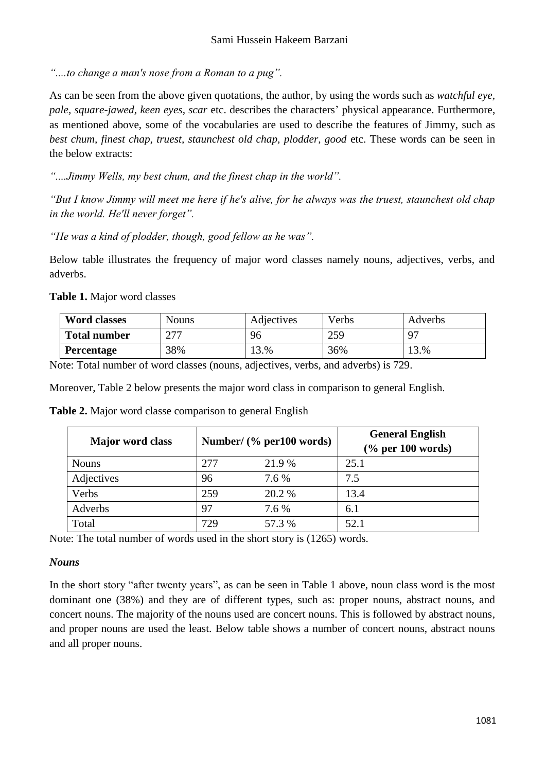*"....to change a man's nose from a Roman to a pug".*

As can be seen from the above given quotations, the author, by using the words such as *watchful eye, pale, square-jawed, keen eyes, scar* etc. describes the characters' physical appearance. Furthermore, as mentioned above, some of the vocabularies are used to describe the features of Jimmy, such as *best chum, finest chap, truest, staunchest old chap, plodder, good* etc. These words can be seen in the below extracts:

*"....Jimmy Wells, my best chum, and the finest chap in the world".*

*"But I know Jimmy will meet me here if he's alive, for he always was the truest, staunchest old chap in the world. He'll never forget".*

*"He was a kind of plodder, though, good fellow as he was".* 

Below table illustrates the frequency of major word classes namely nouns, adjectives, verbs, and adverbs.

**Table 1.** Major word classes

| <b>Word classes</b> | <b>Nouns</b> | Adjectives | Verbs | Adverbs |
|---------------------|--------------|------------|-------|---------|
| <b>Total number</b> | דרר          | 96         | 259   | 97      |
| Percentage          | 38%          | 13.%       | 36%   | 13.%    |

Note: Total number of word classes (nouns, adjectives, verbs, and adverbs) is 729.

Moreover, Table 2 below presents the major word class in comparison to general English.

|  |  |  |  | Table 2. Major word classe comparison to general English |  |  |
|--|--|--|--|----------------------------------------------------------|--|--|
|--|--|--|--|----------------------------------------------------------|--|--|

| <b>Major</b> word class | Number/ $(\%$ per100 words) |        | <b>General English</b><br>$\frac{6}{6}$ per 100 words) |
|-------------------------|-----------------------------|--------|--------------------------------------------------------|
| <b>Nouns</b>            | 277                         | 21.9 % | 25.1                                                   |
| Adjectives              | 96                          | 7.6 %  | 7.5                                                    |
| Verbs                   | 259                         | 20.2 % | 13.4                                                   |
| Adverbs                 | 97                          | 7.6 %  | 6.1                                                    |
| Total                   | 729                         | 57.3 % | 52.1                                                   |

Note: The total number of words used in the short story is (1265) words.

### *Nouns*

In the short story "after twenty years", as can be seen in Table 1 above, noun class word is the most dominant one (38%) and they are of different types, such as: proper nouns, abstract nouns, and concert nouns. The majority of the nouns used are concert nouns. This is followed by abstract nouns, and proper nouns are used the least. Below table shows a number of concert nouns, abstract nouns and all proper nouns.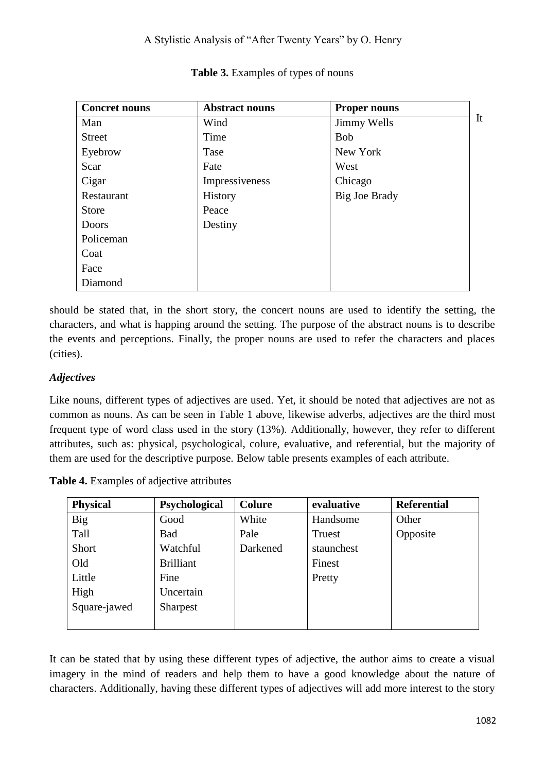| <b>Concret nouns</b> | <b>Abstract nouns</b> | <b>Proper nouns</b>  |    |
|----------------------|-----------------------|----------------------|----|
| Man                  | Wind                  | Jimmy Wells          | It |
| <b>Street</b>        | Time                  | <b>Bob</b>           |    |
| Eyebrow              | Tase                  | New York             |    |
| Scar                 | Fate                  | West                 |    |
| Cigar                | Impressiveness        | Chicago              |    |
| Restaurant           | History               | <b>Big Joe Brady</b> |    |
| <b>Store</b>         | Peace                 |                      |    |
| <b>Doors</b>         | Destiny               |                      |    |
| Policeman            |                       |                      |    |
| Coat                 |                       |                      |    |
| Face                 |                       |                      |    |
| Diamond              |                       |                      |    |

### **Table 3.** Examples of types of nouns

should be stated that, in the short story, the concert nouns are used to identify the setting, the characters, and what is happing around the setting. The purpose of the abstract nouns is to describe the events and perceptions. Finally, the proper nouns are used to refer the characters and places (cities).

## *Adjectives*

Like nouns, different types of adjectives are used. Yet, it should be noted that adjectives are not as common as nouns. As can be seen in Table 1 above, likewise adverbs, adjectives are the third most frequent type of word class used in the story (13%). Additionally, however, they refer to different attributes, such as: physical, psychological, colure, evaluative, and referential, but the majority of them are used for the descriptive purpose. Below table presents examples of each attribute.

| <b>Physical</b> | Psychological    | <b>Colure</b> | evaluative | <b>Referential</b> |
|-----------------|------------------|---------------|------------|--------------------|
| <b>Big</b>      | Good             | White         | Handsome   | Other              |
| Tall            | Bad              | Pale          | Truest     | Opposite           |
| Short           | Watchful         | Darkened      | staunchest |                    |
| Old             | <b>Brilliant</b> |               | Finest     |                    |
| Little          | Fine             |               | Pretty     |                    |
| High            | Uncertain        |               |            |                    |
| Square-jawed    | <b>Sharpest</b>  |               |            |                    |
|                 |                  |               |            |                    |

**Table 4.** Examples of adjective attributes

It can be stated that by using these different types of adjective, the author aims to create a visual imagery in the mind of readers and help them to have a good knowledge about the nature of characters. Additionally, having these different types of adjectives will add more interest to the story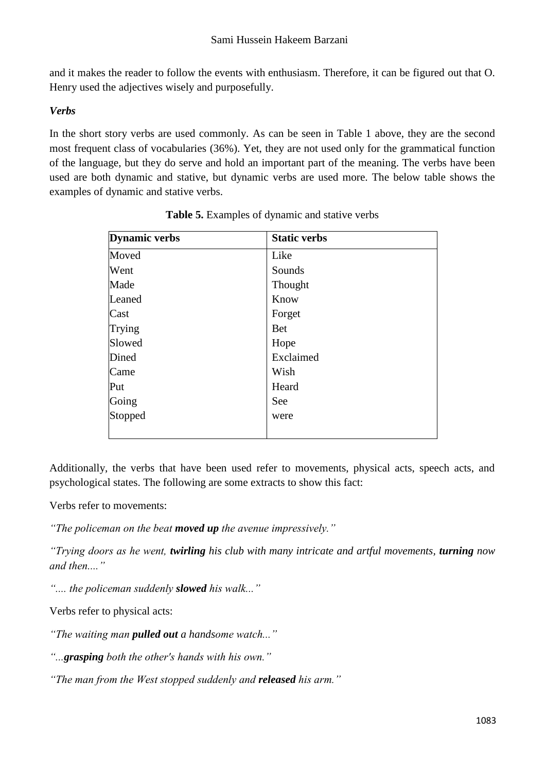and it makes the reader to follow the events with enthusiasm. Therefore, it can be figured out that O. Henry used the adjectives wisely and purposefully.

### *Verbs*

In the short story verbs are used commonly. As can be seen in Table 1 above, they are the second most frequent class of vocabularies (36%). Yet, they are not used only for the grammatical function of the language, but they do serve and hold an important part of the meaning. The verbs have been used are both dynamic and stative, but dynamic verbs are used more. The below table shows the examples of dynamic and stative verbs.

| <b>Dynamic verbs</b> | <b>Static verbs</b> |
|----------------------|---------------------|
| Moved                | Like                |
| Went                 | Sounds              |
| Made                 | Thought             |
| Leaned               | Know                |
| Cast                 | Forget              |
| Trying               | <b>Bet</b>          |
| Slowed               | Hope                |
| Dined                | Exclaimed           |
| Came                 | Wish                |
| Put                  | Heard               |
| Going                | See                 |
| Stopped              | were                |
|                      |                     |

|  | Table 5. Examples of dynamic and stative verbs |  |  |  |  |
|--|------------------------------------------------|--|--|--|--|
|--|------------------------------------------------|--|--|--|--|

Additionally, the verbs that have been used refer to movements, physical acts, speech acts, and psychological states. The following are some extracts to show this fact:

Verbs refer to movements:

*"The policeman on the beat moved up the avenue impressively."*

*"Trying doors as he went, twirling his club with many intricate and artful movements, turning now and then...."* 

*".... the policeman suddenly slowed his walk..."* 

Verbs refer to physical acts:

*"The waiting man pulled out a handsome watch..."*

*"...grasping both the other's hands with his own."*

*"The man from the West stopped suddenly and released his arm."*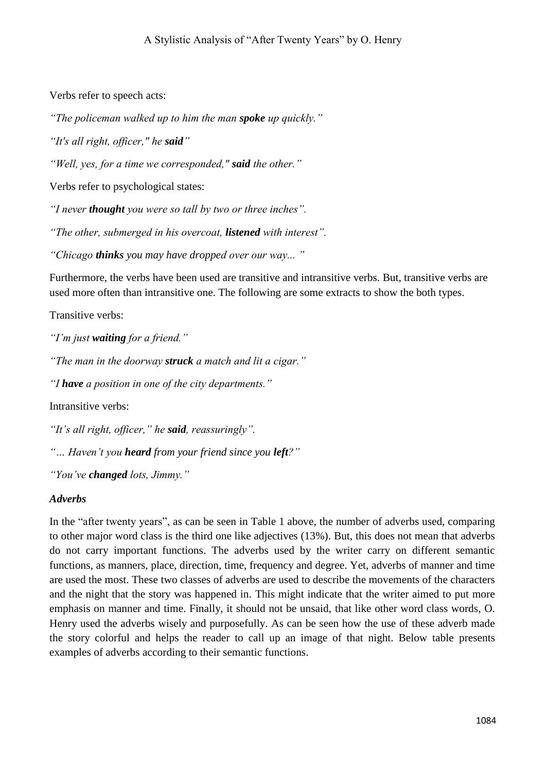Verbs refer to speech acts:

*"The policeman walked up to him the man spoke up quickly."*

*"It's all right, officer," he said"*

*"Well, yes, for a time we corresponded," said the other."*

Verbs refer to psychological states:

*"I never thought you were so tall by two or three inches".*

*"The other, submerged in his overcoat, listened with interest".*

*"Chicago thinks you may have dropped over our way... "*

Furthermore, the verbs have been used are transitive and intransitive verbs. But, transitive verbs are used more often than intransitive one. The following are some extracts to show the both types.

Transitive verbs:

*"I'm just waiting for a friend."*

*"The man in the doorway struck a match and lit a cigar."*

*"I have a position in one of the city departments."*

Intransitive verbs:

*"It's all right, officer," he said, reassuringly".*

*"… Haven't you heard from your friend since you left?"*

*"You've changed lots, Jimmy."*

### *Adverbs*

In the "after twenty years", as can be seen in Table 1 above, the number of adverbs used, comparing to other major word class is the third one like adjectives (13%). But, this does not mean that adverbs do not carry important functions. The adverbs used by the writer carry on different semantic functions, as manners, place, direction, time, frequency and degree. Yet, adverbs of manner and time are used the most. These two classes of adverbs are used to describe the movements of the characters and the night that the story was happened in. This might indicate that the writer aimed to put more emphasis on manner and time. Finally, it should not be unsaid, that like other word class words, O. Henry used the adverbs wisely and purposefully. As can be seen how the use of these adverb made the story colorful and helps the reader to call up an image of that night. Below table presents examples of adverbs according to their semantic functions.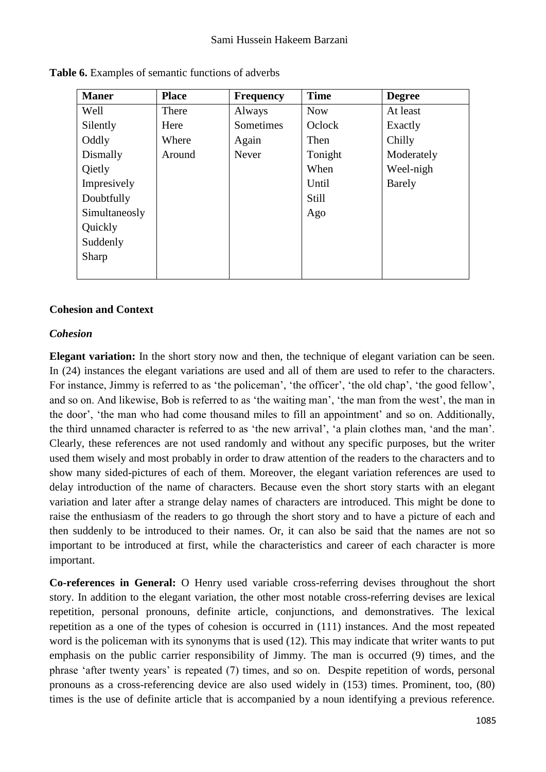| <b>Maner</b>  | <b>Place</b> | <b>Frequency</b> | <b>Time</b> | <b>Degree</b> |
|---------------|--------------|------------------|-------------|---------------|
| Well          | There        | Always           | <b>Now</b>  | At least      |
| Silently      | Here         | Sometimes        | Oclock      | Exactly       |
| Oddly         | Where        | Again            | Then        | Chilly        |
| Dismally      | Around       | Never            | Tonight     | Moderately    |
| Qietly        |              |                  | When        | Weel-nigh     |
| Impresively   |              |                  | Until       | <b>Barely</b> |
| Doubtfully    |              |                  | Still       |               |
| Simultaneosly |              |                  | Ago         |               |
| Quickly       |              |                  |             |               |
| Suddenly      |              |                  |             |               |
| Sharp         |              |                  |             |               |
|               |              |                  |             |               |

**Table 6.** Examples of semantic functions of adverbs

#### **Cohesion and Context**

#### *Cohesion*

**Elegant variation:** In the short story now and then, the technique of elegant variation can be seen. In (24) instances the elegant variations are used and all of them are used to refer to the characters. For instance, Jimmy is referred to as 'the policeman', 'the officer', 'the old chap', 'the good fellow', and so on. And likewise, Bob is referred to as 'the waiting man', 'the man from the west', the man in the door', 'the man who had come thousand miles to fill an appointment' and so on. Additionally, the third unnamed character is referred to as 'the new arrival', 'a plain clothes man, 'and the man'. Clearly, these references are not used randomly and without any specific purposes, but the writer used them wisely and most probably in order to draw attention of the readers to the characters and to show many sided-pictures of each of them. Moreover, the elegant variation references are used to delay introduction of the name of characters. Because even the short story starts with an elegant variation and later after a strange delay names of characters are introduced. This might be done to raise the enthusiasm of the readers to go through the short story and to have a picture of each and then suddenly to be introduced to their names. Or, it can also be said that the names are not so important to be introduced at first, while the characteristics and career of each character is more important.

**Co-references in General:** O Henry used variable cross-referring devises throughout the short story. In addition to the elegant variation, the other most notable cross-referring devises are lexical repetition, personal pronouns, definite article, conjunctions, and demonstratives. The lexical repetition as a one of the types of cohesion is occurred in (111) instances. And the most repeated word is the policeman with its synonyms that is used (12). This may indicate that writer wants to put emphasis on the public carrier responsibility of Jimmy. The man is occurred (9) times, and the phrase 'after twenty years' is repeated (7) times, and so on. Despite repetition of words, personal pronouns as a cross-referencing device are also used widely in (153) times. Prominent, too, (80) times is the use of definite article that is accompanied by a noun identifying a previous reference.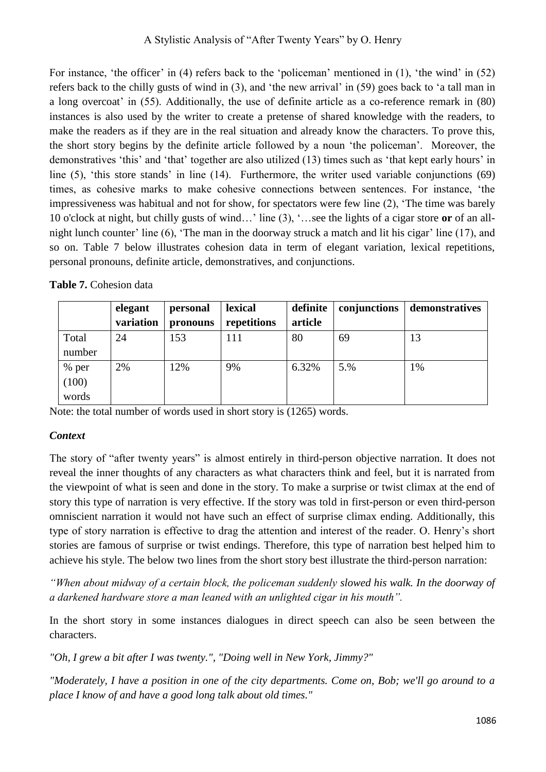For instance, 'the officer' in (4) refers back to the 'policeman' mentioned in (1), 'the wind' in (52) refers back to the chilly gusts of wind in (3), and 'the new arrival' in (59) goes back to 'a tall man in a long overcoat' in (55). Additionally, the use of definite article as a co-reference remark in (80) instances is also used by the writer to create a pretense of shared knowledge with the readers, to make the readers as if they are in the real situation and already know the characters. To prove this, the short story begins by the definite article followed by a noun 'the policeman'. Moreover, the demonstratives 'this' and 'that' together are also utilized (13) times such as 'that kept early hours' in line (5), 'this store stands' in line (14). Furthermore, the writer used variable conjunctions (69) times, as cohesive marks to make cohesive connections between sentences. For instance, 'the impressiveness was habitual and not for show, for spectators were few line (2), 'The time was barely 10 o'clock at night, but chilly gusts of wind…' line (3), '…see the lights of a cigar store **or** of an allnight lunch counter' line (6), 'The man in the doorway struck a match and lit his cigar' line (17), and so on. Table 7 below illustrates cohesion data in term of elegant variation, lexical repetitions, personal pronouns, definite article, demonstratives, and conjunctions.

| <b>Table 7.</b> Cohesion data |  |
|-------------------------------|--|
|-------------------------------|--|

|        | elegant   | personal | lexical     | definite | conjunctions | demonstratives |
|--------|-----------|----------|-------------|----------|--------------|----------------|
|        | variation | pronouns | repetitions | article  |              |                |
| Total  | 24        | 153      | 111         | 80       | 69           | 13             |
| number |           |          |             |          |              |                |
| % per  | 2%        | 12%      | 9%          | 6.32%    | 5.%          | 1%             |
| (100)  |           |          |             |          |              |                |
| words  |           |          |             |          |              |                |

Note: the total number of words used in short story is (1265) words.

## *Context*

The story of "after twenty years" is almost entirely in third-person objective narration. It does not reveal the inner thoughts of any characters as what characters think and feel, but it is narrated from the viewpoint of what is seen and done in the story. To make a surprise or twist climax at the end of story this type of narration is very effective. If the story was told in first-person or even third-person omniscient narration it would not have such an effect of surprise climax ending. Additionally, this type of story narration is effective to drag the attention and interest of the reader. O. Henry's short stories are famous of surprise or twist endings. Therefore, this type of narration best helped him to achieve his style. The below two lines from the short story best illustrate the third-person narration:

*"When about midway of a certain block, the policeman suddenly slowed his walk. In the doorway of a darkened hardware store a man leaned with an unlighted cigar in his mouth".*

In the short story in some instances dialogues in direct speech can also be seen between the characters.

*"Oh, I grew a bit after I was twenty.", "Doing well in New York, Jimmy?"*

*"Moderately, I have a position in one of the city departments. Come on, Bob; we'll go around to a place I know of and have a good long talk about old times."*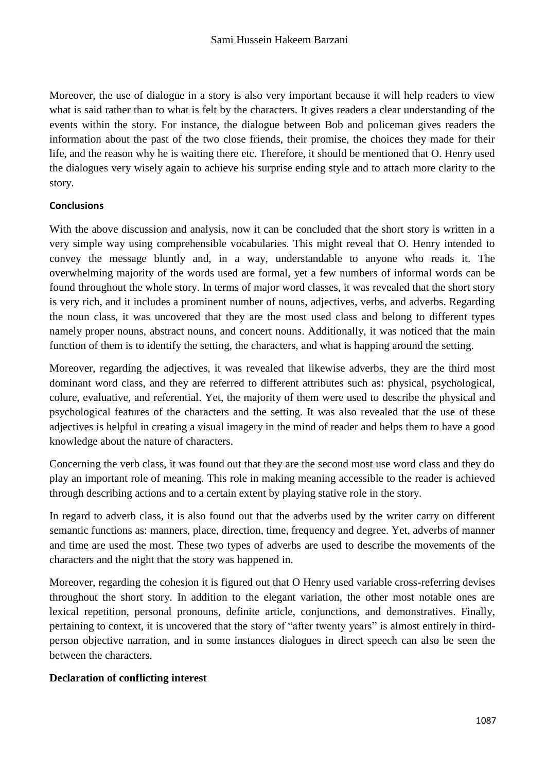Moreover, the use of dialogue in a story is also very important because it will help readers to view what is said rather than to what is felt by the characters. It gives readers a clear understanding of the events within the story. For instance, the dialogue between Bob and policeman gives readers the information about the past of the two close friends, their promise, the choices they made for their life, and the reason why he is waiting there etc. Therefore, it should be mentioned that O. Henry used the dialogues very wisely again to achieve his surprise ending style and to attach more clarity to the story.

### **Conclusions**

With the above discussion and analysis, now it can be concluded that the short story is written in a very simple way using comprehensible vocabularies. This might reveal that O. Henry intended to convey the message bluntly and, in a way, understandable to anyone who reads it. The overwhelming majority of the words used are formal, yet a few numbers of informal words can be found throughout the whole story. In terms of major word classes, it was revealed that the short story is very rich, and it includes a prominent number of nouns, adjectives, verbs, and adverbs. Regarding the noun class, it was uncovered that they are the most used class and belong to different types namely proper nouns, abstract nouns, and concert nouns. Additionally, it was noticed that the main function of them is to identify the setting, the characters, and what is happing around the setting.

Moreover, regarding the adjectives, it was revealed that likewise adverbs, they are the third most dominant word class, and they are referred to different attributes such as: physical, psychological, colure, evaluative, and referential. Yet, the majority of them were used to describe the physical and psychological features of the characters and the setting. It was also revealed that the use of these adjectives is helpful in creating a visual imagery in the mind of reader and helps them to have a good knowledge about the nature of characters.

Concerning the verb class, it was found out that they are the second most use word class and they do play an important role of meaning. This role in making meaning accessible to the reader is achieved through describing actions and to a certain extent by playing stative role in the story.

In regard to adverb class, it is also found out that the adverbs used by the writer carry on different semantic functions as: manners, place, direction, time, frequency and degree. Yet, adverbs of manner and time are used the most. These two types of adverbs are used to describe the movements of the characters and the night that the story was happened in.

Moreover, regarding the cohesion it is figured out that O Henry used variable cross-referring devises throughout the short story. In addition to the elegant variation, the other most notable ones are lexical repetition, personal pronouns, definite article, conjunctions, and demonstratives. Finally, pertaining to context, it is uncovered that the story of "after twenty years" is almost entirely in thirdperson objective narration, and in some instances dialogues in direct speech can also be seen the between the characters.

#### **Declaration of conflicting interest**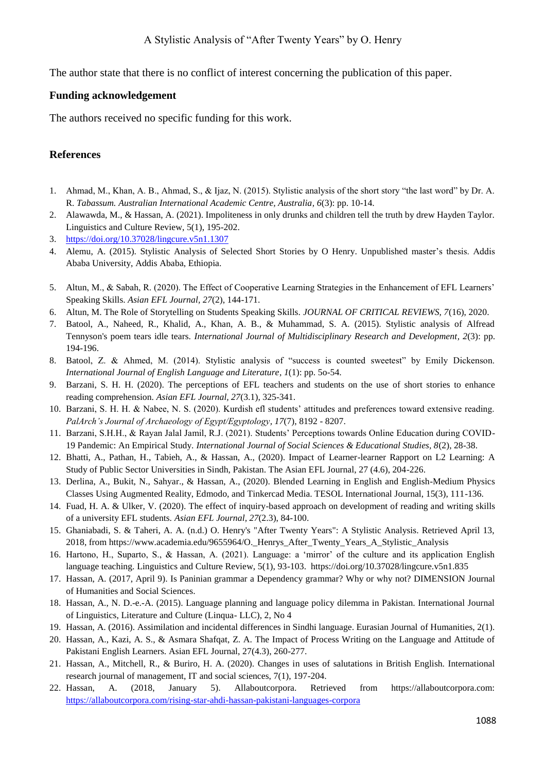The author state that there is no conflict of interest concerning the publication of this paper.

#### **Funding acknowledgement**

The authors received no specific funding for this work.

### **References**

- 1. Ahmad, M., Khan, A. B., Ahmad, S., & Ijaz, N. (2015). Stylistic analysis of the short story "the last word" by Dr. A. R. *Tabassum. Australian International Academic Centre, Australia, 6*(3): pp. 10-14.
- 2. Alawawda, M., & Hassan, A. (2021). Impoliteness in only drunks and children tell the truth by drew Hayden Taylor. Linguistics and Culture Review, 5(1), 195-202.
- 3. <https://doi.org/10.37028/lingcure.v5n1.1307>
- 4. Alemu, A. (2015). Stylistic Analysis of Selected Short Stories by O Henry. Unpublished master's thesis. Addis Ababa University, Addis Ababa, Ethiopia.
- 5. Altun, M., & Sabah, R. (2020). The Effect of Cooperative Learning Strategies in the Enhancement of EFL Learners' Speaking Skills. *Asian EFL Journal, 27*(2), 144-171.
- 6. Altun, M. The Role of Storytelling on Students Speaking Skills. *JOURNAL OF CRITICAL REVIEWS, 7*(16), 2020.
- 7. Batool, A., Naheed, R., Khalid, A., Khan, A. B., & Muhammad, S. A. (2015). Stylistic analysis of Alfread Tennyson's poem tears idle tears. *International Journal of Multidisciplinary Research and Development, 2*(3): pp. 194-196.
- 8. Batool, Z. & Ahmed, M. (2014). Stylistic analysis of "success is counted sweetest" by Emily Dickenson. *International Journal of English Language and Literature, 1*(1): pp. 5o-54.
- 9. Barzani, S. H. H. (2020). The perceptions of EFL teachers and students on the use of short stories to enhance reading comprehension. *Asian EFL Journal, 27*(3.1), 325-341.
- 10. Barzani, S. H. H. & Nabee, N. S. (2020). Kurdish efl students' attitudes and preferences toward extensive reading. *PalArch's Journal of Archaeology of Egypt/Egyptology, 17*(7), 8192 - 8207.
- 11. Barzani, S.H.H., & Rayan Jalal Jamil, R.J. (2021). Students' Perceptions towards Online Education during COVID-19 Pandemic: An Empirical Study. *International Journal of Social Sciences & Educational Studies, 8*(2), 28-38.
- 12. Bhatti, A., Pathan, H., Tabieh, A., & Hassan, A., (2020). Impact of Learner-learner Rapport on L2 Learning: A Study of Public Sector Universities in Sindh, Pakistan. The Asian EFL Journal, 27 (4.6), 204-226.
- 13. Derlina, A., Bukit, N., Sahyar., & Hassan, A., (2020). Blended Learning in English and English-Medium Physics Classes Using Augmented Reality, Edmodo, and Tinkercad Media. TESOL International Journal, 15(3), 111-136.
- 14. Fuad, H. A. & Ulker, V. (2020). The effect of inquiry-based approach on development of reading and writing skills of a university EFL students. *Asian EFL Journal, 27*(2.3), 84-100.
- 15. Ghaniabadi, S. & Taheri, A. A. (n.d.) O. Henry's "After Twenty Years": A Stylistic Analysis. Retrieved April 13, 2018, from https://www.academia.edu/9655964/O. Henrys After Twenty Years A Stylistic Analysis
- 16. Hartono, H., Suparto, S., & Hassan, A. (2021). Language: a 'mirror' of the culture and its application English language teaching. Linguistics and Culture Review, 5(1), 93-103. https://doi.org/10.37028/lingcure.v5n1.835
- 17. Hassan, A. (2017, April 9). Is Paninian grammar a Dependency grammar? Why or why not? DIMENSION Journal of Humanities and Social Sciences.
- 18. Hassan, A., N. D.-e.-A. (2015). Language planning and language policy dilemma in Pakistan. International Journal of Linguistics, Literature and Culture (Linqua- LLC), 2, No 4
- 19. Hassan, A. (2016). Assimilation and incidental differences in Sindhi language. Eurasian Journal of Humanities, 2(1).
- 20. Hassan, A., Kazi, A. S., & Asmara Shafqat, Z. A. The Impact of Process Writing on the Language and Attitude of Pakistani English Learners. Asian EFL Journal, 27(4.3), 260-277.
- 21. Hassan, A., Mitchell, R., & Buriro, H. A. (2020). Changes in uses of salutations in British English. International research journal of management, IT and social sciences, 7(1), 197-204.
- 22. Hassan, A. (2018, January 5). Allaboutcorpora. Retrieved from https://allaboutcorpora.com: <https://allaboutcorpora.com/rising-star-ahdi-hassan-pakistani-languages-corpora>